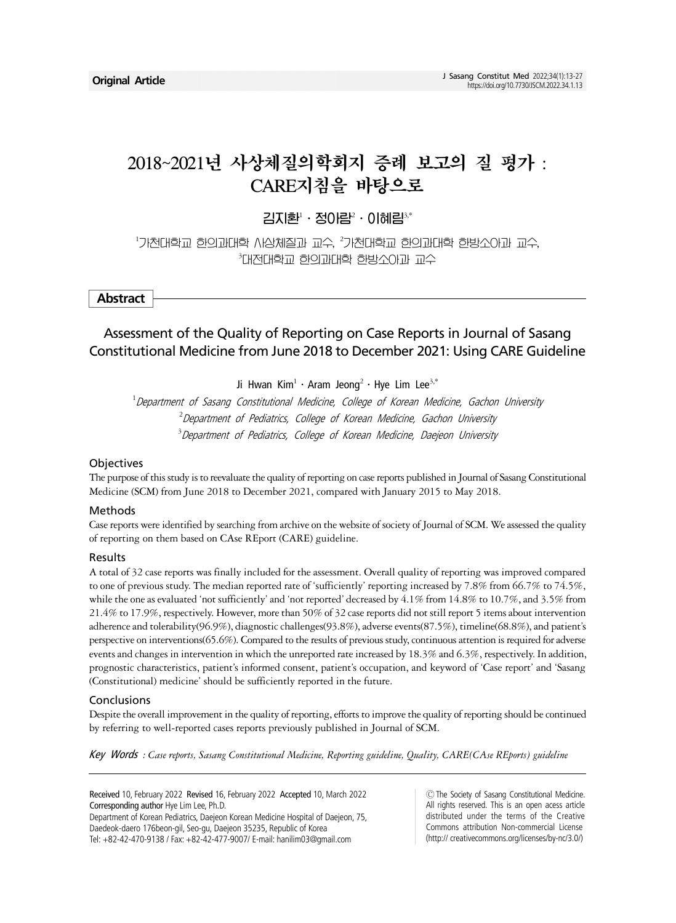# 2018~2021년 사상체질의학회지 증례 보고의 질 평가 : CARE지침을 바탕으로

김지환 · 정0람 · 이혜림¾

 $^{\rm 1}$ 기천대학교 한의과대학 사상체질과 교수,  $^{\rm 2}$ 기천대학교 한의과대학 한방소아과 교수, 3 대전대학교 한의과대학 한방소아과 교수

**Abstract**

## Assessment of the Quality of Reporting on Case Reports in Journal of Sasang Constitutional Medicine from June 2018 to December 2021: Using CARE Guideline

Ji Hwan Kim $^1$   $\cdot$  Aram Jeong $^2$   $\cdot$  Hye Lim Lee $^{3,*}$ 

<sup>1</sup>Department of Sasang Constitutional Medicine, College of Korean Medicine, Gachon University  $^{2}$ Department of Pediatrics, College of Korean Medicine, Gachon University <sup>3</sup> Department of Pediatrics, College of Korean Medicine, Daejeon University

### **Objectives**

The purpose of this study is to reevaluate the quality of reporting on case reports published in Journal of Sasang Constitutional Medicine (SCM) from June 2018 to December 2021, compared with January 2015 to May 2018.

### Methods

Case reports were identified by searching from archive on the website of society of Journal of SCM. We assessed the quality of reporting on them based on CAse REport (CARE) guideline.

### Results

A total of 32 case reports was finally included for the assessment. Overall quality of reporting was improved compared to one of previous study. The median reported rate of 'sufficiently' reporting increased by 7.8% from 66.7% to 74.5%, while the one as evaluated 'not sufficiently' and 'not reported' decreased by 4.1% from 14.8% to 10.7%, and 3.5% from 21.4% to 17.9%, respectively. However, more than 50% of 32 case reports did not still report 5 items about intervention adherence and tolerability(96.9%), diagnostic challenges(93.8%), adverse events(87.5%), timeline(68.8%), and patient's perspective on interventions(65.6%). Compared to the results of previous study, continuous attention is required for adverse events and changes in intervention in which the unreported rate increased by 18.3% and 6.3%, respectively. In addition, prognostic characteristics, patient's informed consent, patient's occupation, and keyword of 'Case report' and 'Sasang (Constitutional) medicine' should be sufficiently reported in the future.

### Conclusions

Despite the overall improvement in the quality of reporting, efforts to improve the quality of reporting should be continued by referring to well-reported cases reports previously published in Journal of SCM.

Key Words *: Case reports, Sasang Constitutional Medicine, Reporting guideline, Quality, CARE(CAse REports) guideline*

Received 10, February 2022 Revised 16, February 2022 Accepted 10, March 2022 Corresponding author Hye Lim Lee, Ph.D. Department of Korean Pediatrics, Daejeon Korean Medicine Hospital of Daejeon, 75, Daedeok-daero 176beon-gil, Seo-gu, Daejeon 35235, Republic of Korea Tel: +82-42-470-9138 / Fax: +82-42-477-9007/ E-mail: hanilim03@gmail.com

ⒸThe Society of Sasang Constitutional Medicine. All rights reserved. This is an open acess article distributed under the terms of the Creative Commons attribution Non-commercial License (http:// creativecommons.org/licenses/by-nc/3.0/)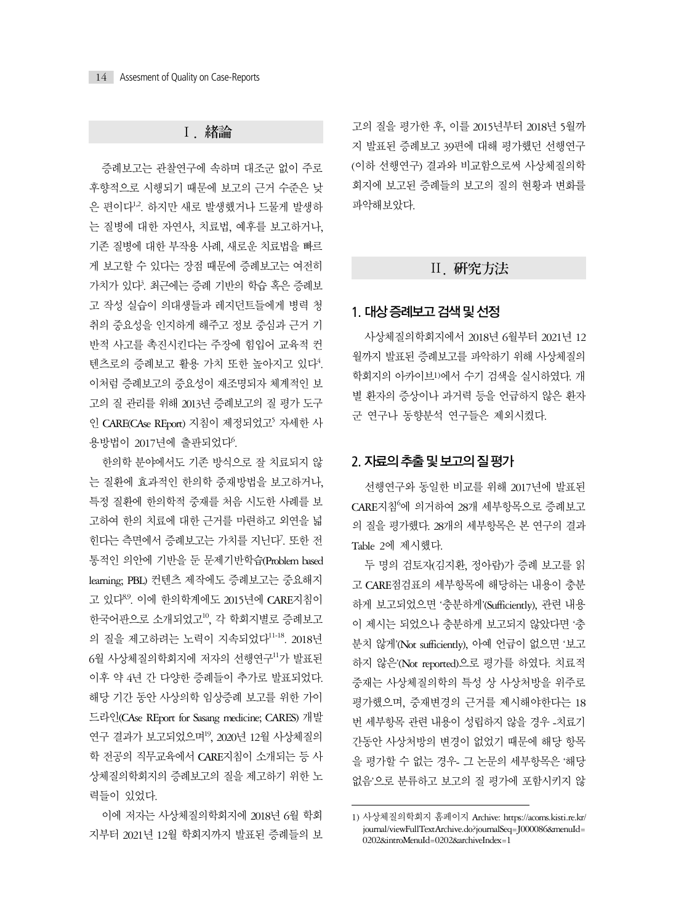### Ⅰ. 緖論

증례보고는 관찰연구에 속하며 대조군 없이 주로 후향적으로 시행되기 때문에 보고의 근거 수준은 낮 은 편이다1,2. 하지만 새로 발생했거나 드물게 발생하 는 질병에 대한 자연사, 치료법, 예후를 보고하거나, 기존 질병에 대한 부작용 사례, 새로운 치료법을 빠르 게 보고할 수 있다는 장점 때문에 증례보고는 여전히 가치가 있다?. 최근에는 증례 기반의 학습 혹은 증례보 고 작성 실습이 의대생들과 레지던트들에게 병력 청 취의 중요성을 인지하게 해주고 정보 중심과 근거 기 반적 사고를 촉진시킨다는 주장에 힘입어 교육적 컨 텐츠로의 증례보고 활용 가치 또한 높아지고 있다<sup>4</sup>. 이처럼 증례보고의 중요성이 재조명되자 체계적인 보 고의 질 관리를 위해 2013년 증례보고의 질 평가 도구 인 CARE(CAse REport) 지침이 제정되었고<sup>5</sup> 자세한 사 용방법이 2017년에 출판되었다<sup>6</sup>.

한의학 분야에서도 기존 방식으로 잘 치료되지 않 는 질환에 효과적인 한의학 중재방법을 보고하거나, 특정 질환에 한의학적 중재를 처음 시도한 사례를 보 고하여 한의 치료에 대한 근거를 마련하고 외연을 넓 힌다는 측면에서 증례보고는 가치를 지닌다?. 또한 전 통적인 의안에 기반을 둔 문제기반학습(Problem based learning; PBL) 컨텐츠 제작에도 증례보고는 중요해지 고 있다<sup>8,9</sup>. 이에 한의학계에도 2015년에 CARE지침이 한국어판으로 소개되었고10, 각 학회지별로 증례보고 의 질을 제고하려는 노력이 지속되었다11-18. 2018년 6월 사상체질의학회지에 저자의 선행연구<sup>11</sup>가 발표된 이후 약 4년 간 다양한 증례들이 추가로 발표되었다. 해당 기간 동안 사상의학 임상증례 보고를 위한 가이 드라인(CAse REport for Sasang medicine; CARES) 개발 연구 결과가 보고되었으며<sup>19</sup>, 2020년 12월 사상체질의 학 전공의 직무교육에서 CARE지침이 소개되는 등 사 상체질의학회지의 증례보고의 질을 제고하기 위한 노 력들이 있었다.

이에 저자는 사상체질의학회지에 2018년 6월 학회 지부터 2021년 12월 학회지까지 발표된 증례들의 보 고의 질을 평가한 후, 이를 2015년부터 2018년 5월까 지 발표된 증례보고 39편에 대해 평가했던 선행연구 (이하 선행연구) 결과와 비교함으로써 사상체질의학 회지에 보고된 증례들의 보고의 질의 현황과 변화를 파악해보았다.

## Ⅱ. 硏究方法

### 1. 대상 증례보고 검색 및 선정

사상체질의학회지에서 2018년 6월부터 2021년 12 월까지 발표된 증례보고를 파악하기 위해 사상체질의 학회지의 아카이브1)에서 수기 검색을 실시하였다. 개 별 환자의 증상이나 과거력 등을 언급하지 않은 환자 군 연구나 동향분석 연구들은 제외시켰다.

### 2. 자료의 추출 및 보고의 질 평가

선행연구와 동일한 비교를 위해 2017년에 발표된 CARE지침<sup>6</sup>에 의거하여 28개 세부항목으로 증례보고 의 질을 평가했다. 28개의 세부항목은 본 연구의 결과 Table 2에 제시했다.

두 명의 검토자(김지환, 정아람)가 증례 보고를 읽 고 CARE점검표의 세부항목에 해당하는 내용이 충분 하게 보고되었으면 '충분하게'(Sufficiently), 관련 내용 이 제시는 되었으나 충분하게 보고되지 않았다면 '충 분치 않게'(Not sufficiently), 아예 언급이 없으면 '보고 하지 않은'(Not reported)으로 평가를 하였다. 치료적 중재는 사상체질의학의 특성 상 사상처방을 위주로 평가했으며, 중재변경의 근거를 제시해야한다는 18 번 세부항목 관련 내용이 성립하지 않을 경우 -치료기 간동안 사상처방의 변경이 없었기 때문에 해당 항목 을 평가할 수 없는 경우- 그 논문의 세부항목은 '해당 없음'으로 분류하고 보고의 질 평가에 포함시키지 않

<sup>1)</sup> 사상체질의학회지 홈페이지 Archive: https://acoms.kisti.re.kr/ journal/viewFullTextArchive.do?journalSeq=J000086&menuId= 0202&introMenuId=0202&archiveIndex=1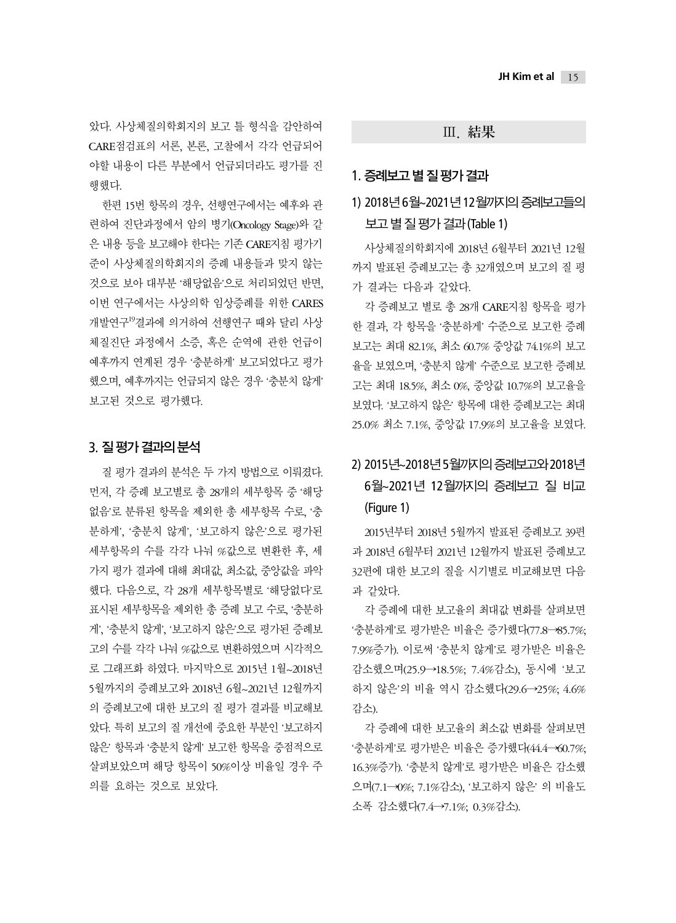았다. 사상체질의학회지의 보고 틀 형식을 감안하여 CARE점검표의 서론, 본론, 고찰에서 각각 언급되어 야할 내용이 다른 부분에서 언급되더라도 평가를 진 행했다.

한편 15번 항목의 경우, 선행연구에서는 예후와 관 련하여 진단과정에서 암의 병기(Oncology Stage)와 같 은 내용 등을 보고해야 한다는 기존 CARE지침 평가기 준이 사상체질의학회지의 증례 내용들과 맞지 않는 것으로 보아 대부분 '해당없음'으로 처리되었던 반면, 이번 연구에서는 사상의학 임상증례를 위한 CARES 개발연구<sup>19</sup>결과에 의거하여 선행연구 때와 달리 사상 체질진단 과정에서 소증, 혹은 순역에 관한 언급이 예후까지 연계된 경우 '충분하게' 보고되었다고 평가 했으며, 예후까지는 언급되지 않은 경우 '충분치 않게' 보고된 것으로 평가했다.

### 3. 질 평가 결과의 분석

질 평가 결과의 분석은 두 가지 방법으로 이뤄졌다. 먼저, 각 증례 보고별로 총 28개의 세부항목 중 '해당 없음'로 분류된 항목을 제외한 총 세부항목 수로, '충 분하게', '충분치 않게', '보고하지 않은'으로 평가된 세부항목의 수를 각각 나눠 %값으로 변환한 후, 세 가지 평가 결과에 대해 최대값, 최소값, 중앙값을 파악 했다. 다음으로, 각 28개 세부항목별로 '해당없다'로 표시된 세부항목을 제외한 총 증례 보고 수로, '충분하 게', '충분치 않게', '보고하지 않은'으로 평가된 증례보 고의 수를 각각 나눠 %값으로 변환하였으며 시각적으 로 그래프화 하였다. 마지막으로 2015년 1월~2018년 5월까지의 증례보고와 2018년 6월~2021년 12월까지 의 증례보고에 대한 보고의 질 평가 결과를 비교해보 았다. 특히 보고의 질 개선에 중요한 부분인 '보고하지 않은' 항목과 '충분치 않게' 보고한 항목을 중점적으로 살펴보았으며 해당 항목이 50%이상 비율일 경우 주 의를 요하는 것으로 보았다.

### Ⅲ. 結果

### 1. 증례보고 별 질 평가 결과

## 1) 2018년 6월~2021년 12월까지의 증례보고들의 보고 별 질 평가 결과 (Table 1)

사상체질의학회지에 2018년 6월부터 2021년 12월 까지 발표된 증례보고는 총 32개였으며 보고의 질 평 가 결과는 다음과 같았다.

각 증례보고 별로 총 28개 CARE지침 항목을 평가 한 결과, 각 항목을 '충분하게' 수준으로 보고한 증례 보고는 최대 82.1%, 최소 60.7% 중앙값 74.1%의 보고 율을 보였으며, '충분치 않게' 수준으로 보고한 증례보 고는 최대 18.5%, 최소 0%, 중앙값 10.7%의 보고율을 보였다. '보고하지 않은' 항목에 대한 증례보고는 최대 25.0% 최소 7.1%, 중앙값 17.9%의 보고율을 보였다.

# 2) 2015년~2018년 5월까지의 증례보고와 2018년 6월~2021년 12월까지의 증례보고 질 비교 (Figure 1)

2015년부터 2018년 5월까지 발표된 증례보고 39편 과 2018년 6월부터 2021년 12월까지 발표된 증례보고 32편에 대한 보고의 질을 시기별로 비교해보면 다음 과 같았다.

각 증례에 대한 보고율의 최대값 변화를 살펴보면 '충분하게'로 평가받은 비율은 증가했다(77.8→85.7%; 7.9%증가). 이로써 '충분치 않게'로 평가받은 비율은 감소했으며(25.9→18.5%; 7.4%감소), 동시에 '보고 하지 않은'의 비율 역시 감소했다(29.6→25%; 4.6% 감소).

각 증례에 대한 보고율의 최소값 변화를 살펴보면 '충분하게'로 평가받은 비율은 증가했다(44.4→60.7%; 16.3%증가). '충분치 않게'로 평가받은 비율은 감소했 으며(7.1→0%; 7.1%감소), '보고하지 않은' 의 비율도 소폭 감소했다(7.4→7.1%; 0.3%감소).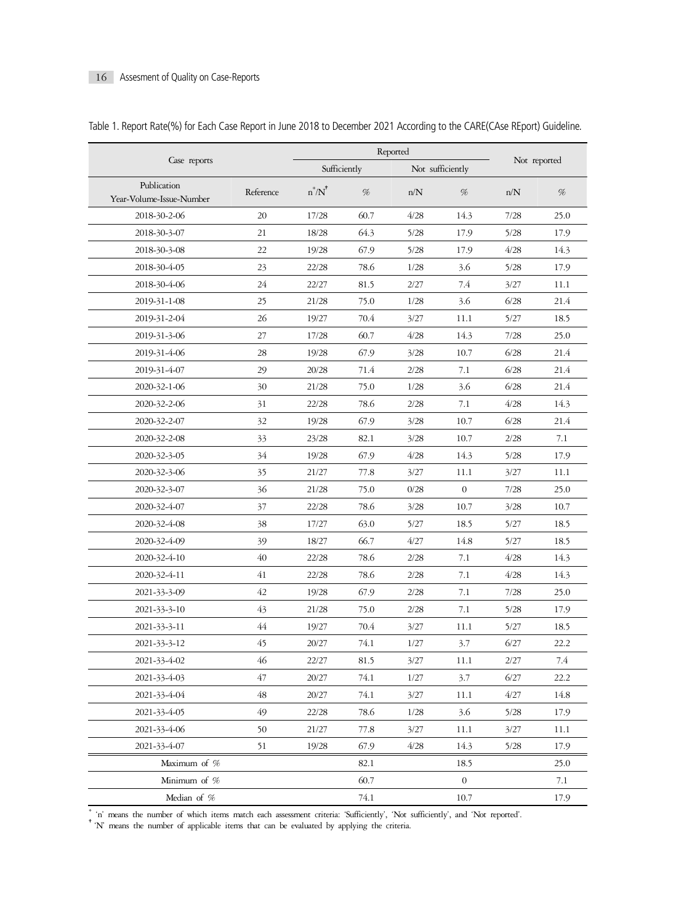|                                         |           | Reported     |      |                  |                  |              |      |  |
|-----------------------------------------|-----------|--------------|------|------------------|------------------|--------------|------|--|
| Case reports                            |           | Sufficiently |      | Not sufficiently |                  | Not reported |      |  |
| Publication<br>Year-Volume-Issue-Number | Reference | $n^*/N^*$    | %    | n/N              | %                | n/N          | %    |  |
| 2018-30-2-06                            | 20        | 17/28        | 60.7 | 4/28             | 14.3             | 7/28         | 25.0 |  |
| 2018-30-3-07                            | 21        | 18/28        | 64.3 | 5/28             | 17.9             | 5/28         | 17.9 |  |
| 2018-30-3-08                            | 22        | 19/28        | 67.9 | 5/28             | 17.9             | 4/28         | 14.3 |  |
| 2018-30-4-05                            | 23        | 22/28        | 78.6 | 1/28             | 3.6              | 5/28         | 17.9 |  |
| 2018-30-4-06                            | 24        | 22/27        | 81.5 | 2/27             | 7.4              | 3/27         | 11.1 |  |
| 2019-31-1-08                            | 25        | 21/28        | 75.0 | 1/28             | 3.6              | 6/28         | 21.4 |  |
| 2019-31-2-04                            | 26        | 19/27        | 70.4 | 3/27             | 11.1             | 5/27         | 18.5 |  |
| 2019-31-3-06                            | 27        | 17/28        | 60.7 | 4/28             | 14.3             | 7/28         | 25.0 |  |
| 2019-31-4-06                            | 28        | 19/28        | 67.9 | 3/28             | 10.7             | 6/28         | 21.4 |  |
| 2019-31-4-07                            | 29        | 20/28        | 71.4 | 2/28             | 7.1              | 6/28         | 21.4 |  |
| 2020-32-1-06                            | 30        | 21/28        | 75.0 | 1/28             | 3.6              | 6/28         | 21.4 |  |
| 2020-32-2-06                            | 31        | 22/28        | 78.6 | 2/28             | 7.1              | 4/28         | 14.3 |  |
| 2020-32-2-07                            | 32        | 19/28        | 67.9 | 3/28             | 10.7             | 6/28         | 21.4 |  |
| 2020-32-2-08                            | 33        | 23/28        | 82.1 | 3/28             | 10.7             | 2/28         | 7.1  |  |
| 2020-32-3-05                            | 34        | 19/28        | 67.9 | 4/28             | 14.3             | 5/28         | 17.9 |  |
| 2020-32-3-06                            | 35        | 21/27        | 77.8 | 3/27             | 11.1             | 3/27         | 11.1 |  |
| 2020-32-3-07                            | 36        | 21/28        | 75.0 | 0/28             | $\boldsymbol{0}$ | 7/28         | 25.0 |  |
| 2020-32-4-07                            | 37        | 22/28        | 78.6 | 3/28             | 10.7             | 3/28         | 10.7 |  |
| 2020-32-4-08                            | 38        | 17/27        | 63.0 | 5/27             | 18.5             | 5/27         | 18.5 |  |
| 2020-32-4-09                            | 39        | 18/27        | 66.7 | 4/27             | 14.8             | 5/27         | 18.5 |  |
| 2020-32-4-10                            | 40        | 22/28        | 78.6 | 2/28             | 7.1              | 4/28         | 14.3 |  |
| 2020-32-4-11                            | 41        | 22/28        | 78.6 | 2/28             | 7.1              | 4/28         | 14.3 |  |
| 2021-33-3-09                            | 42        | 19/28        | 67.9 | 2/28             | 7.1              | 7/28         | 25.0 |  |
| 2021-33-3-10                            | 43        | 21/28        | 75.0 | 2/28             | 7.1              | 5/28         | 17.9 |  |
| 2021-33-3-11                            | 44        | 19/27        | 70.4 | 3/27             | 11.1             | 5/27         | 18.5 |  |
| 2021-33-3-12                            | 45        | 20/27        | 74.1 | 1/27             | 3.7              | 6/27         | 22.2 |  |
| 2021-33-4-02                            | 46        | 22/27        | 81.5 | 3/27             | 11.1             | 2/27         | 7.4  |  |
| 2021-33-4-03                            | 47        | 20/27        | 74.1 | 1/27             | 3.7              | 6/27         | 22.2 |  |
| 2021-33-4-04                            | 48        | 20/27        | 74.1 | 3/27             | 11.1             | 4/27         | 14.8 |  |
| 2021-33-4-05                            | 49        | 22/28        | 78.6 | 1/28             | 3.6              | 5/28         | 17.9 |  |
| 2021-33-4-06                            | 50        | 21/27        | 77.8 | 3/27             | 11.1             | 3/27         | 11.1 |  |
| 2021-33-4-07                            | 51        | 19/28        | 67.9 | 4/28             | 14.3             | 5/28         | 17.9 |  |
| Maximum of %                            |           |              | 82.1 |                  | 18.5             |              | 25.0 |  |
| Minimum of %                            |           |              | 60.7 |                  | 0                |              | 7.1  |  |
| Median of %                             |           |              | 74.1 |                  | 10.7             |              | 17.9 |  |

|  |  | Table 1. Report Rate(%) for Each Case Report in June 2018 to December 2021 According to the CARE(CAse REport) Guideline. |
|--|--|--------------------------------------------------------------------------------------------------------------------------|
|  |  |                                                                                                                          |

\* 'n' means the number of which items match each assessment criteria: 'Sufficiently', 'Not sufficiently', and 'Not reported'. †'N' means the number of applicable items that can be evaluated by applying the criteria.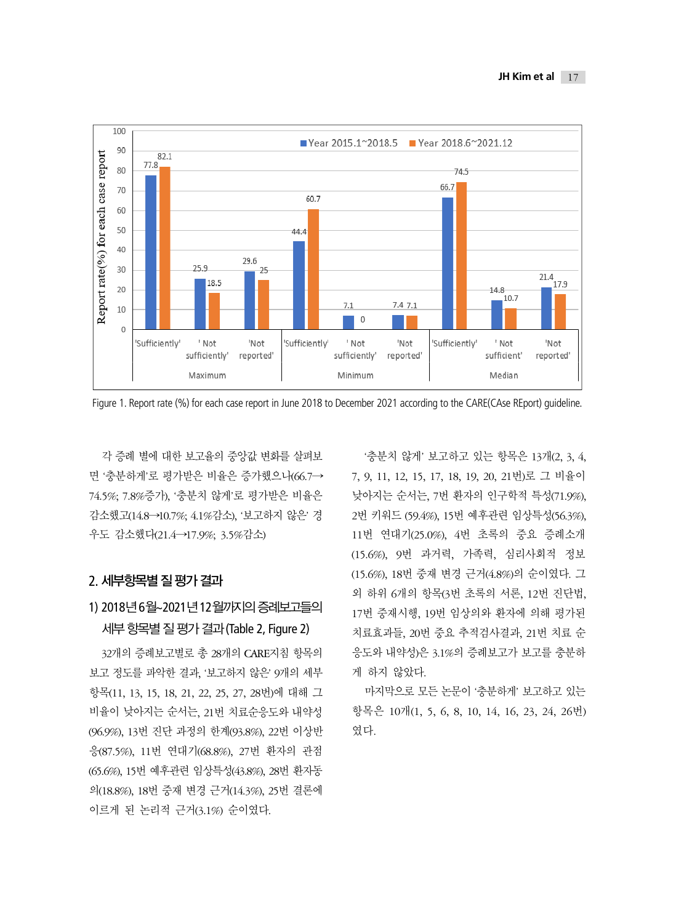

Figure 1. Report rate (%) for each case report in June 2018 to December 2021 according to the CARE(CAse REport) guideline.

각 증례 별에 대한 보고율의 중앙값 변화를 살펴보 면 '충분하게'로 평가받은 비율은 증가했으나(66.7→ 74.5%; 7.8%증가), '충분치 않게'로 평가받은 비율은 감소했고(14.8→10.7%; 4.1%감소), '보고하지 않은' 경 우도 감소했다(21.4→17.9%; 3.5%감소)

## 2. 세부항목별 질 평가 결과

# 1) 2018년 6월~2021년 12월까지의 증례보고들의 세부 항목별 질 평가 결과 (Table 2, Figure 2)

32개의 증례보고별로 총 28개의 CARE지침 항목의 보고 정도를 파악한 결과, '보고하지 않은' 9개의 세부 항목(11, 13, 15, 18, 21, 22, 25, 27, 28번)에 대해 그 비율이 낮아지는 순서는, 21번 치료순응도와 내약성 (96.9%), 13번 진단 과정의 한계(93.8%), 22번 이상반 응(87.5%), 11번 연대기(68.8%), 27번 환자의 관점 (65.6%), 15번 예후관련 임상특성(43.8%), 28번 환자동 의(18.8%), 18번 중재 변경 근거(14.3%), 25번 결론에 이르게 된 논리적 근거(3.1%) 순이였다.

'충분치 않게' 보고하고 있는 항목은 13개(2, 3, 4, 7, 9, 11, 12, 15, 17, 18, 19, 20, 21번)로 그 비율이 낮아지는 순서는, 7번 환자의 인구학적 특성(71.9%), 2번 키워드 (59.4%), 15번 예후관련 임상특성(56.3%), 11번 연대기(25.0%), 4번 초록의 중요 증례소개 (15.6%), 9번 과거력, 가족력, 심리사회적 정보 (15.6%), 18번 중재 변경 근거(4.8%)의 순이였다. 그 외 하위 6개의 항목(3번 초록의 서론, 12번 진단법, 17번 중재시행, 19번 임상의와 환자에 의해 평가된 치료효과들, 20번 중요 추적검사결과, 21번 치료 순 응도와 내약성)은 3.1%의 증례보고가 보고를 충분하 게 하지 않았다.

마지막으로 모든 논문이 '충분하게' 보고하고 있는 항목은 10개(1, 5, 6, 8, 10, 14, 16, 23, 24, 26번) 였다.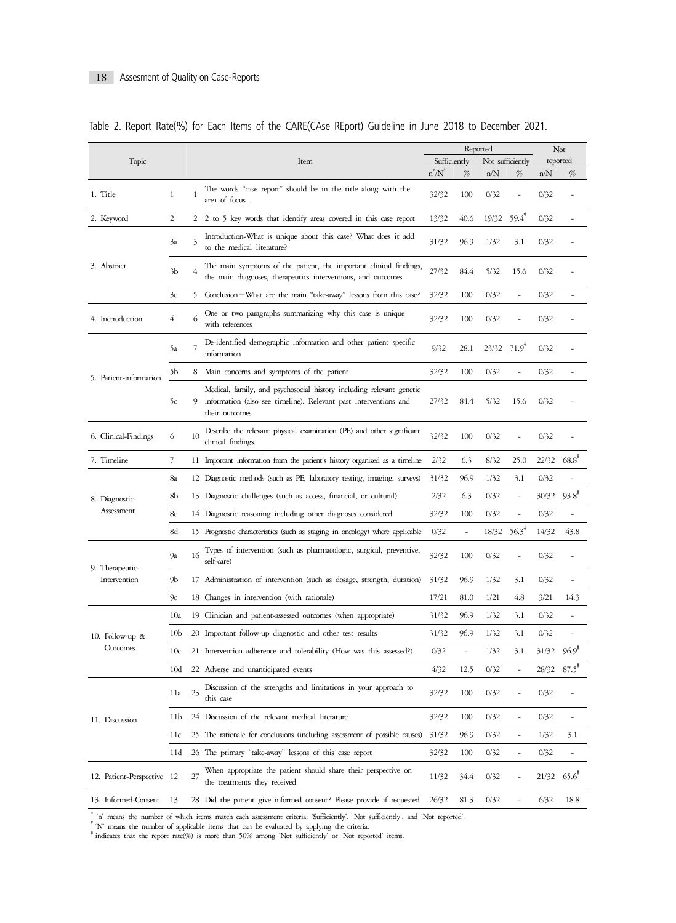|                                 |                 |                         |                                                                                                                                                            |                              |                          | Reported         |                          | Not                       |                |
|---------------------------------|-----------------|-------------------------|------------------------------------------------------------------------------------------------------------------------------------------------------------|------------------------------|--------------------------|------------------|--------------------------|---------------------------|----------------|
| Topic                           |                 |                         | Item                                                                                                                                                       | Sufficiently                 |                          | Not sufficiently |                          | reported                  |                |
|                                 |                 |                         |                                                                                                                                                            | $n^N N$                      | %                        | n/N              | %                        | n/N                       | %              |
| 1. Title                        | 1               | 1                       | The words "case report" should be in the title along with the<br>area of focus.                                                                            | 32/32                        | 100                      | 0/32             |                          | 0/32                      |                |
| 2. Keyword                      | $\overline{c}$  |                         | 2 2 to 5 key words that identify areas covered in this case report                                                                                         | 13/32                        | 40.6                     | 19/32            | $59.4$ <sup>*</sup>      | 0/32                      |                |
|                                 | 3a              | $\overline{\mathbf{3}}$ | Introduction-What is unique about this case? What does it add<br>to the medical literature?                                                                | 31/32                        | 96.9                     | 1/32             | 3.1                      | 0/32                      |                |
| 3. Abstract                     | 3 <sub>b</sub>  | 4                       | The main symptoms of the patient, the important clinical findings,<br>the main diagnoses, therapeutics interventions, and outcomes.                        | 27/32                        | 84.4                     | 5/32             | 15.6                     | 0/32                      |                |
|                                 | 3c              | 5.                      | Conclusion-What are the main "take-away" lessons from this case?                                                                                           | 32/32                        | 100                      | 0/32             | ÷,                       | 0/32                      |                |
| 4. Inctroduction                | 4               | 6                       | One or two paragraphs summarizing why this case is unique<br>with references                                                                               | 32/32<br>100<br>0/32<br>0/32 |                          |                  |                          |                           |                |
|                                 | 5a              |                         | De-identified demographic information and other patient specific<br>information                                                                            | 9/32                         | 28.1                     | 23/32 71.9       |                          | 0/32                      |                |
|                                 | 5Ь              |                         | 8 Main concerns and symptoms of the patient                                                                                                                | 32/32                        | 100                      | 0/32             |                          | 0/32                      |                |
| 5. Patient-information          | 5c              | 9                       | Medical, family, and psychosocial history including relevant genetic<br>information (also see timeline). Relevant past interventions and<br>their outcomes | 27/32                        | 84.4                     | 5/32             | 15.6                     | 0/32                      |                |
| 6. Clinical-Findings            | 6               | 10                      | Describe the relevant physical examination (PE) and other significant<br>clinical findings.                                                                | 32/32                        | 100                      | 0/32             |                          | 0/32                      |                |
| 7. Timeline                     | 7               |                         | 11 Important information from the patient's history organized as a timeline                                                                                | 2/32                         | 6.3                      | 8/32             | 25.0                     | 22/32                     | $68.8^*$       |
|                                 | 8a              |                         | 12 Diagnostic methods (such as PE, laboratory testing, imaging, surveys)                                                                                   | 31/32                        | 96.9                     | 1/32             | 3.1                      | 0/32                      |                |
| 8. Diagnostic-                  | 8b              |                         | 13 Diagnostic challenges (such as access, financial, or cultural)                                                                                          | 2/32                         | 6.3                      | 0/32             | ÷,                       | 30/32                     | $93.8^*$       |
| Assessment                      | 8c              |                         | 14 Diagnostic reasoning including other diagnoses considered                                                                                               | 32/32                        | 100                      | 0/32             | ÷,                       | 0/32                      |                |
|                                 | 8d              |                         | 15 Prognostic characteristics (such as staging in oncology) where applicable                                                                               | 0/32                         | $\overline{\phantom{a}}$ | 18/32            | $56.3^*$                 | 14/32                     | 43.8           |
| 9. Therapeutic-<br>Intervention | 9а              | 16                      | Types of intervention (such as pharmacologic, surgical, preventive,<br>self-care)                                                                          | 32/32                        | 100                      | 0/32             | ÷,                       | 0/32                      |                |
|                                 | 9Ь              | 17                      | Administration of intervention (such as dosage, strength, duration)                                                                                        | 31/32                        | 96.9                     | 1/32             | 3.1                      | 0/32                      |                |
|                                 | 9c              |                         | 18 Changes in intervention (with rationale)                                                                                                                | 17/21                        | 81.0                     | 1/21             | 4.8                      | 3/21                      | 14.3           |
|                                 | 10a             |                         | 19 Clinician and patient-assessed outcomes (when appropriate)                                                                                              | 31/32                        | 96.9                     | 1/32             | 3.1                      | 0/32                      |                |
| 10. Follow-up &                 | 10 <sub>b</sub> |                         | 20 Important follow-up diagnostic and other test results                                                                                                   | 31/32                        | 96.9                     | 1/32             | 3.1                      | 0/32                      |                |
| Outcomes                        | 10c             |                         | 21 Intervention adherence and tolerability (How was this assessed?)                                                                                        | 0/32                         | $\overline{\phantom{a}}$ | 1/32             | 3.1                      | 31/32                     | $96.9^{\circ}$ |
|                                 | 10 <sub>d</sub> |                         | 22 Adverse and unanticipated events                                                                                                                        | 4/32                         | 12.5                     | 0/32             |                          | 28/32                     | $87.5^*$       |
| 11. Discussion                  | 1 la            | 23                      | Discussion of the strengths and limitations in your approach to<br>this case                                                                               | 32/32                        | 100                      | 0/32             |                          | 0/32                      |                |
|                                 | 11b             |                         | 24 Discussion of the relevant medical literature                                                                                                           | 32/32                        | 100                      | 0/32             | ÷,                       | 0/32                      |                |
|                                 | 11c             |                         | 25 The rationale for conclusions (including assessment of possible causes)                                                                                 | 31/32                        | 96.9                     | 0/32             | ÷                        | 1/32                      | 3.1            |
|                                 | 11d             |                         | 26 The primary "take-away" lessons of this case report                                                                                                     | 32/32                        | 100                      | 0/32             | $\overline{\phantom{m}}$ | 0/32                      |                |
| 12. Patient-Perspective 12      |                 | 27                      | When appropriate the patient should share their perspective on<br>the treatments they received                                                             | 11/32                        | 34.4                     | 0/32             |                          | $21/32$ 65.6 <sup>*</sup> |                |
| 13. Informed-Consent            | 13              |                         | 28 Did the patient give informed consent? Please provide if requested                                                                                      | 26/32                        | 81.3                     | 0/32             | ÷,                       | 6/32                      | 18.8           |

|  | Table 2. Report Rate(%) for Each Items of the CARE(CAse REport) Guideline in June 2018 to December 2021. |  |  |  |  |  |  |  |  |  |  |
|--|----------------------------------------------------------------------------------------------------------|--|--|--|--|--|--|--|--|--|--|
|--|----------------------------------------------------------------------------------------------------------|--|--|--|--|--|--|--|--|--|--|

\* 'n' means the number of which items match each assessment criteria: 'Sufficiently', Not sufficiently', and 'Not reported'.<br>\* N' means the number of applicable items that can be evaluated by applying the criteria.<br>\* indi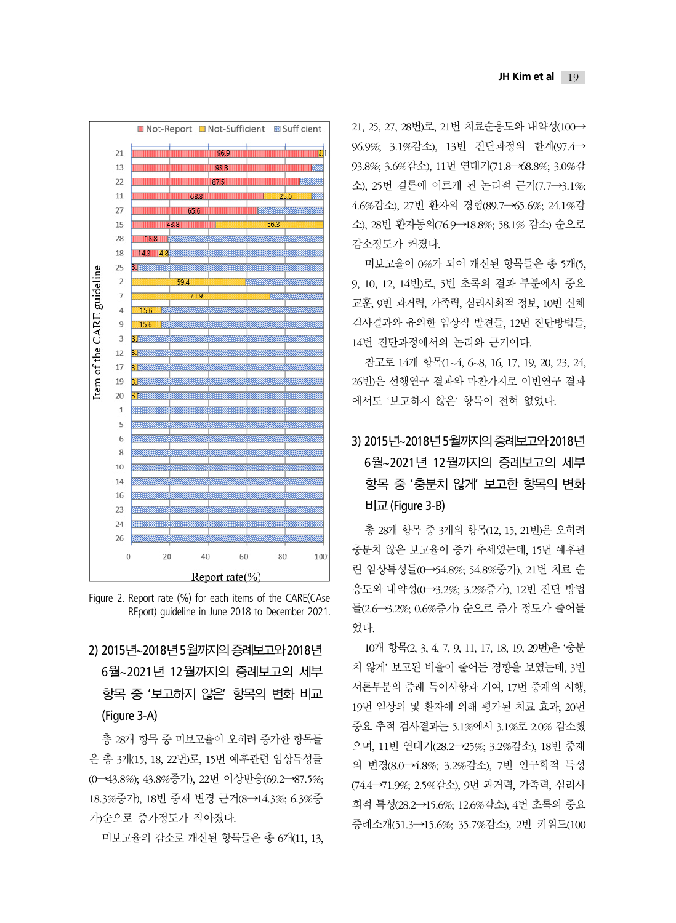

Figure 2. Report rate (%) for each items of the CARE(CAse REport) guideline in June 2018 to December 2021.

# 2) 2015년~2018년 5월까지의 증례보고와 2018년 6월~2021년 12월까지의 증례보고의 세부 항목 중 '보고하지 않은' 항목의 변화 비교 (Figure 3-A)

총 28개 항목 중 미보고율이 오히려 증가한 항목들 은 총 3개(15, 18, 22번)로, 15번 예후관련 임상특성들 (0→43.8%); 43.8%증가), 22번 이상반응(69.2→87.5%; 18.3%증가), 18번 중재 변경 근거(8→14.3%; 6.3%증 가)순으로 증가정도가 작아졌다.

미보고율의 감소로 개선된 항목들은 총 6개(11, 13,

21, 25, 27, 28번)로, 21번 치료순응도와 내약성(100→ 96.9%; 3.1%감소), 13번 진단과정의 한계(97.4→ 93.8%; 3.6%감소), 11번 연대기(71.8→68.8%; 3.0%감 소), 25번 결론에 이르게 된 논리적 근거(7.7→3.1%; 4.6%감소), 27번 환자의 경험(89.7→65.6%; 24.1%감 소), 28번 환자동의(76.9→18.8%; 58.1% 감소) 순으로 감소정도가 커졌다.

미보고율이 0%가 되어 개선된 항목들은 총 5개(5, 9, 10, 12, 14번)로, 5번 초록의 결과 부분에서 중요 교훈, 9번 과거력, 가족력, 심리사회적 정보, 10번 신체 검사결과와 유의한 임상적 발견들, 12번 진단방법들, 14번 진단과정에서의 논리와 근거이다.

참고로 14개 항목(1~4, 6~8, 16, 17, 19, 20, 23, 24, 26번)은 선행연구 결과와 마찬가지로 이번연구 결과 에서도 '보고하지 않은' 항목이 전혀 없었다.

# 3) 2015년~2018년 5월까지의 증례보고와 2018년 6월~2021년 12월까지의 증례보고의 세부 항목 중 '충분치 않게' 보고한 항목의 변화 비교 (Figure 3-B)

총 28개 항목 중 3개의 항목(12, 15, 21번)은 오히려 충분치 않은 보고율이 증가 추세였는데, 15번 예후관 련 임상특성들(0→54.8%; 54.8%증가), 21번 치료 순 응도와 내약성(0→3.2%; 3.2%증가), 12번 진단 방법 들(2.6→3.2%; 0.6%증가) 순으로 증가 정도가 줄어들 었다.

10개 항목(2, 3, 4, 7, 9, 11, 17, 18, 19, 29번)은 '충분 치 않게' 보고된 비율이 줄어든 경향을 보였는데, 3번 서론부분의 증례 특이사항과 기여, 17번 중재의 시행, 19번 임상의 및 환자에 의해 평가된 치료 효과, 20번 중요 추적 검사결과는 5.1%에서 3.1%로 2.0% 감소했 으며, 11번 연대기(28.2→25%; 3.2%감소), 18번 중재 의 변경(8.0→4.8%; 3.2%감소), 7번 인구학적 특성 (74.4→71.9%; 2.5%감소), 9번 과거력, 가족력, 심리사 회적 특성(28.2→15.6%; 12.6%감소), 4번 초록의 중요 증례소개(51.3→15.6%; 35.7%감소), 2번 키워드(100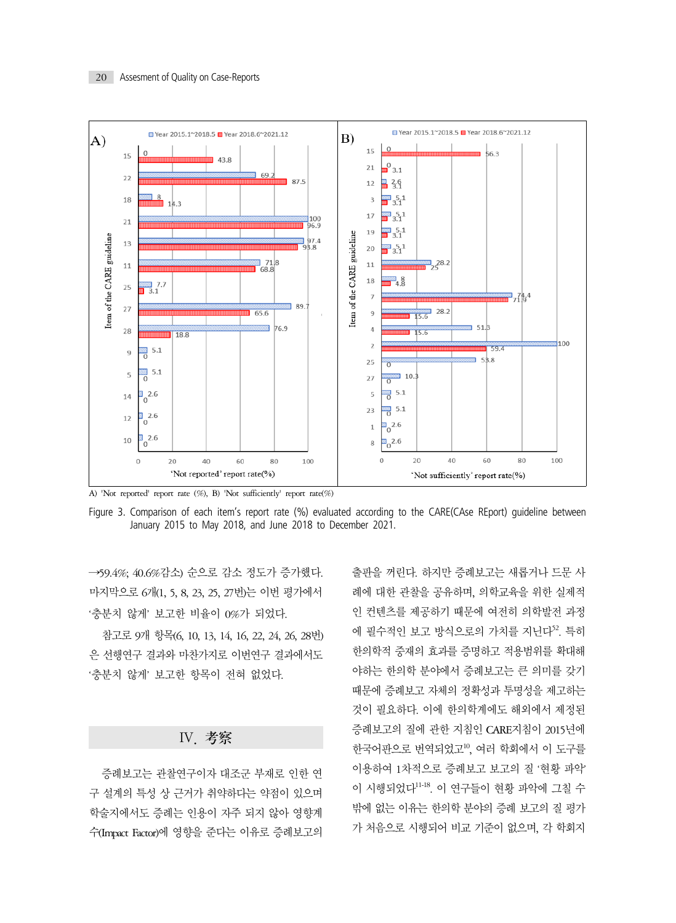

A) 'Not reported' report rate (%), B) 'Not sufficiently' report rate(%)

Figure 3. Comparison of each item's report rate (%) evaluated according to the CARE(CAse REport) quideline between January 2015 to May 2018, and June 2018 to December 2021.

→59.4%; 40.6%감소) 순으로 감소 정도가 증가했다. 마지막으로 6개(1, 5, 8, 23, 25, 27번)는 이번 평가에서 '충분치 않게' 보고한 비율이 0%가 되었다.

참고로 9개 항목(6, 10, 13, 14, 16, 22, 24, 26, 28번) 은 선행연구 결과와 마찬가지로 이번연구 결과에서도 '충분치 않게' 보고한 항목이 전혀 없었다.

### Ⅳ. 考察

증례보고는 관찰연구이자 대조군 부재로 인한 연 구 설계의 특성 상 근거가 취약하다는 약점이 있으며 학술지에서도 증례는 인용이 자주 되지 않아 영향계 수(Impact Factor)에 영향을 준다는 이유로 증례보고의 출판을 꺼린다. 하지만 증례보고는 새롭거나 드문 사 례에 대한 관찰을 공유하며, 의학교육을 위한 실제적 인 컨텐츠를 제공하기 때문에 여전히 의학발전 과정 에 필수적인 보고 방식으로의 가치를 지닌다<sup>52</sup>. 특히 한의학적 중재의 효과를 증명하고 적용범위를 확대해 야하는 한의학 분야에서 증례보고는 큰 의미를 갖기 때문에 증례보고 자체의 정확성과 투명성을 제고하는 것이 필요하다. 이에 한의학계에도 해외에서 제정된 증례보고의 질에 관한 지침인 CARE지침이 2015년에 한국어판으로 번역되었고10, 여러 학회에서 이 도구를 이용하여 1차적으로 증례보고 보고의 질 '현황 파악' 이 시행되었다11-18. 이 연구들이 현황 파악에 그칠 수 밖에 없는 이유는 한의학 분야의 증례 보고의 질 평가 가 처음으로 시행되어 비교 기준이 없으며, 각 학회지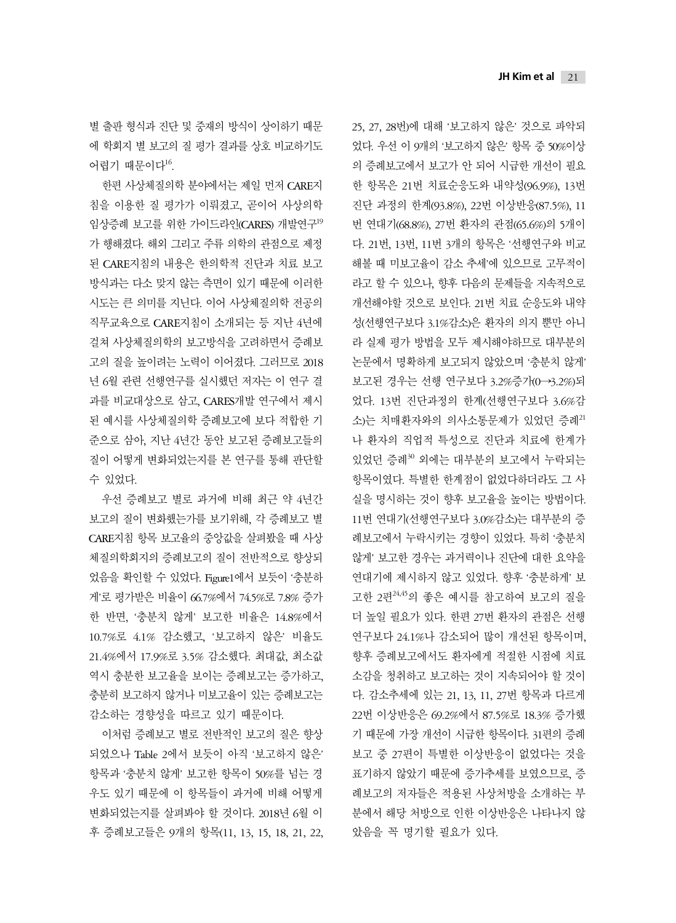별 출판 형식과 진단 및 중재의 방식이 상이하기 때문 에 학회지 별 보고의 질 평가 결과를 상호 비교하기도 어렵기 때문이다<sup>16</sup>.

한편 사상체질의학 분야에서는 제일 먼저 CARE지 침을 이용한 질 평가가 이뤄졌고, 곧이어 사상의학 임상증례 보고를 위한 가이드라인(CARES) 개발연구<sup>19</sup> 가 행해졌다. 해외 그리고 주류 의학의 관점으로 제정 된 CARE지침의 내용은 한의학적 진단과 치료 보고 방식과는 다소 맞지 않는 측면이 있기 때문에 이러한 시도는 큰 의미를 지닌다. 이어 사상체질의학 전공의 직무교육으로 CARE지침이 소개되는 등 지난 4년에 걸쳐 사상체질의학의 보고방식을 고려하면서 증례보 고의 질을 높이려는 노력이 이어졌다. 그러므로 2018 년 6월 관련 선행연구를 실시했던 저자는 이 연구 결 과를 비교대상으로 삼고, CARES개발 연구에서 제시 된 예시를 사상체질의학 증례보고에 보다 적합한 기 준으로 삼아, 지난 4년간 동안 보고된 증례보고들의 질이 어떻게 변화되었는지를 본 연구를 통해 판단할 수 있었다.

우선 증례보고 별로 과거에 비해 최근 약 4년간 보고의 질이 변화했는가를 보기위해, 각 증례보고 별 CARE지침 항목 보고율의 중앙값을 살펴봤을 때 사상 체질의학회지의 증례보고의 질이 전반적으로 향상되 었음을 확인할 수 있었다. Figure1에서 보듯이 '충분하 게'로 평가받은 비율이 66.7%에서 74.5%로 7.8% 증가 한 반면, '충분치 않게' 보고한 비율은 14.8%에서 10.7%로 4.1% 감소했고, '보고하지 않은' 비율도 21.4%에서 17.9%로 3.5% 감소했다. 최대값, 최소값 역시 충분한 보고율을 보이는 증례보고는 증가하고, 충분히 보고하지 않거나 미보고율이 있는 증례보고는 감소하는 경향성을 따르고 있기 때문이다.

이처럼 증례보고 별로 전반적인 보고의 질은 향상 되었으나 Table 2에서 보듯이 아직 '보고하지 않은' 항목과 '충분치 않게' 보고한 항목이 50%를 넘는 경 우도 있기 때문에 이 항목들이 과거에 비해 어떻게 변화되었는지를 살펴봐야 할 것이다. 2018년 6월 이 후 증례보고들은 9개의 항목(11, 13, 15, 18, 21, 22, 25, 27, 28번)에 대해 '보고하지 않은' 것으로 파악되 었다. 우선 이 9개의 '보고하지 않은' 항목 중 50%이상 의 증례보고에서 보고가 안 되어 시급한 개선이 필요 한 항목은 21번 치료순응도와 내약성(96.9%), 13번 진단 과정의 한계(93.8%), 22번 이상반응(87.5%), 11 번 연대기(68.8%), 27번 환자의 관점(65.6%)의 5개이 다. 21번, 13번, 11번 3개의 항목은 '선행연구와 비교 해볼 때 미보고율이 감소 추세'에 있으므로 고무적이 라고 할 수 있으나, 향후 다음의 문제들을 지속적으로 개선해야할 것으로 보인다. 21번 치료 순응도와 내약 성(선행연구보다 3.1%감소)은 환자의 의지 뿐만 아니 라 실제 평가 방법을 모두 제시해야하므로 대부분의 논문에서 명확하게 보고되지 않았으며 '충분치 않게' 보고된 경우는 선행 연구보다 3.2%증가(0→3.2%)되 었다. 13번 진단과정의 한계(선행연구보다 3.6%감 소)는 치매환자와의 의사소통문제가 있었던 증례<sup>21</sup> 나 환자의 직업적 특성으로 진단과 치료에 한계가 있었던 증례30 외에는 대부분의 보고에서 누락되는 항목이였다. 특별한 한계점이 없었다하더라도 그 사 실을 명시하는 것이 향후 보고율을 높이는 방법이다. 11번 연대기(선행연구보다 3.0%감소)는 대부분의 증 례보고에서 누락시키는 경향이 있었다. 특히 '충분치 않게' 보고한 경우는 과거력이나 진단에 대한 요약을 연대기에 제시하지 않고 있었다. 향후 '충분하게' 보 고한 2편24,45의 좋은 예시를 참고하여 보고의 질을 더 높일 필요가 있다. 한편 27번 환자의 관점은 선행 연구보다 24.1%나 감소되어 많이 개선된 항목이며, 향후 증례보고에서도 환자에게 적절한 시점에 치료 소감을 청취하고 보고하는 것이 지속되어야 할 것이 다. 감소추세에 있는 21, 13, 11, 27번 항목과 다르게 22번 이상반응은 69.2%에서 87.5%로 18.3% 증가했 기 때문에 가장 개선이 시급한 항목이다. 31편의 증례 보고 중 27편이 특별한 이상반응이 없었다는 것을 표기하지 않았기 때문에 증가추세를 보였으므로, 증 례보고의 저자들은 적용된 사상처방을 소개하는 부 분에서 해당 처방으로 인한 이상반응은 나타나지 않 았음을 꼭 명기할 필요가 있다.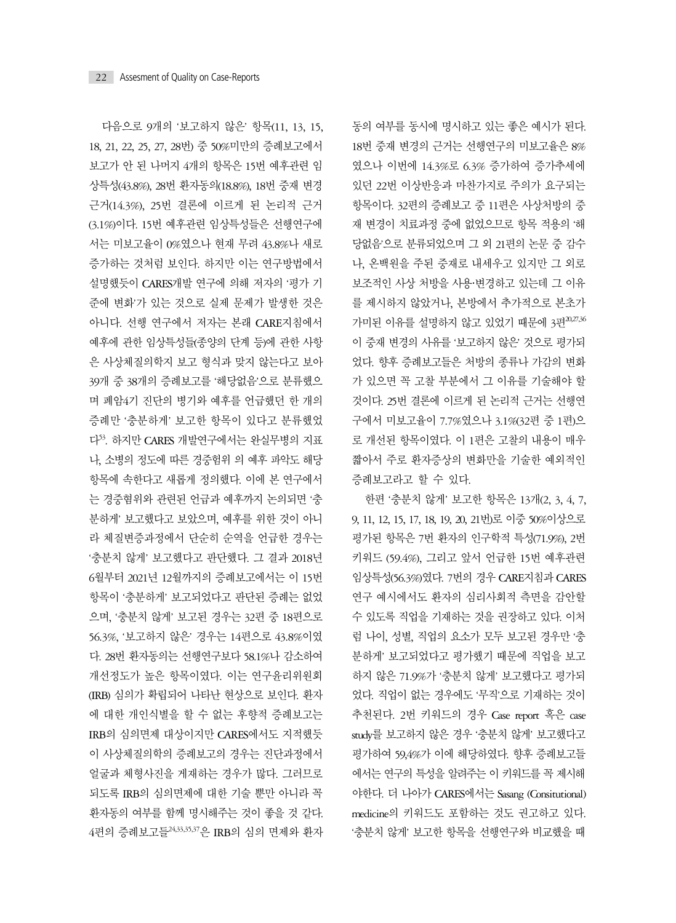다음으로 9개의 '보고하지 않은' 항목(11, 13, 15, 18, 21, 22, 25, 27, 28번) 중 50%미만의 증례보고에서 보고가 안 된 나머지 4개의 항목은 15번 예후관련 임 상특성(43.8%), 28번 환자동의(18.8%), 18번 중재 변경 근거(14.3%), 25번 결론에 이르게 된 논리적 근거 (3.1%)이다. 15번 예후관련 임상특성들은 선행연구에 서는 미보고율이 0%였으나 현재 무려 43.8%나 새로 증가하는 것처럼 보인다. 하지만 이는 연구방법에서 설명했듯이 CARES개발 연구에 의해 저자의 '평가 기 준에 변화'가 있는 것으로 실제 문제가 발생한 것은 아니다. 선행 연구에서 저자는 본래 CARE지침에서 예후에 관한 임상특성들(종양의 단계 등)에 관한 사항 은 사상체질의학지 보고 형식과 맞지 않는다고 보아 39개 중 38개의 증례보고를 '해당없음'으로 분류했으 며 폐암4기 진단의 병기와 예후를 언급했던 한 개의 증례만 '충분하게' 보고한 항목이 있다고 분류했었 다53. 하지만 CARES 개발연구에서는 완실무병의 지표 나, 소병의 정도에 따른 경중험위 의 예후 파악도 해당 항목에 속한다고 새롭게 정의했다. 이에 본 연구에서 는 경중혐위와 관련된 언급과 예후까지 논의되면 '충 분하게' 보고했다고 보았으며, 예후를 위한 것이 아니 라 체질변증과정에서 단순히 순역을 언급한 경우는 '충분치 않게' 보고했다고 판단했다. 그 결과 2018년 6월부터 2021년 12월까지의 증례보고에서는 이 15번 항목이 '충분하게' 보고되었다고 판단된 증례는 없었 으며, '충분치 않게' 보고된 경우는 32편 중 18편으로 56.3%, '보고하지 않은' 경우는 14편으로 43.8%이였 다. 28번 환자동의는 선행연구보다 58.1%나 감소하여 개선정도가 높은 항목이였다. 이는 연구윤리위원회 (IRB) 심의가 확립되어 나타난 현상으로 보인다. 환자 에 대한 개인식별을 할 수 없는 후향적 증례보고는 IRB의 심의면제 대상이지만 CARES에서도 지적했듯 이 사상체질의학의 증례보고의 경우는 진단과정에서 얼굴과 체형사진을 게재하는 경우가 많다. 그러므로 되도록 IRB의 심의면제에 대한 기술 뿐만 아니라 꼭 환자동의 여부를 함께 명시해주는 것이 좋을 것 같다. 4편의 증례보고들24,33,35,37은 IRB의 심의 면제와 환자

동의 여부를 동시에 명시하고 있는 좋은 예시가 된다. 18번 중재 변경의 근거는 선행연구의 미보고율은 8% 였으나 이번에 14.3%로 6.3% 증가하여 증가추세에 있던 22번 이상반응과 마찬가지로 주의가 요구되는 항목이다. 32편의 증례보고 중 11편은 사상처방의 중 재 변경이 치료과정 중에 없었으므로 항목 적용의 '해 당없음'으로 분류되었으며 그 외 21편의 논문 중 감수 나, 온백원을 주된 중재로 내세우고 있지만 그 외로 보조적인 사상 처방을 사용·변경하고 있는데 그 이유 를 제시하지 않았거나, 본방에서 추가적으로 본초가 가미된 이유를 설명하지 않고 있었기 때문에 3편20,27,36 이 중재 변경의 사유를 '보고하지 않은' 것으로 평가되 었다. 향후 증례보고들은 처방의 종류나 가감의 변화 가 있으면 꼭 고찰 부분에서 그 이유를 기술해야 할 것이다. 25번 결론에 이르게 된 논리적 근거는 선행연 구에서 미보고율이 7.7%였으나 3.1%(32편 중 1편)으 로 개선된 항목이였다. 이 1편은 고찰의 내용이 매우 짧아서 주로 환자증상의 변화만을 기술한 예외적인 증례보고라고 할 수 있다.

한편 '충분치 않게' 보고한 항목은 13개(2, 3, 4, 7, 9, 11, 12, 15, 17, 18, 19, 20, 21번)로 이중 50%이상으로 평가된 항목은 7번 환자의 인구학적 특성(71.9%), 2번 키워드 (59.4%), 그리고 앞서 언급한 15번 예후관련 임상특성(56.3%)였다. 7번의 경우 CARE지침과 CARES 연구 예시에서도 환자의 심리사회적 측면을 감안할 수 있도록 직업을 기재하는 것을 권장하고 있다. 이처 럼 나이, 성별, 직업의 요소가 모두 보고된 경우만 '충 분하게' 보고되었다고 평가했기 때문에 직업을 보고 하지 않은 71.9%가 '충분치 않게' 보고했다고 평가되 었다. 직업이 없는 경우에도 '무직'으로 기재하는 것이 추천된다. 2번 키워드의 경우 Case report 혹은 case study를 보고하지 않은 경우 '충분치 않게' 보고했다고 평가하여 59,4%가 이에 해당하였다. 향후 증례보고들 에서는 연구의 특성을 알려주는 이 키워드를 꼭 제시해 야한다. 더 나아가 CARES에서는 Sasang (Consitutional) medicine의 키워드도 포함하는 것도 권고하고 있다. '충분치 않게' 보고한 항목을 선행연구와 비교했을 때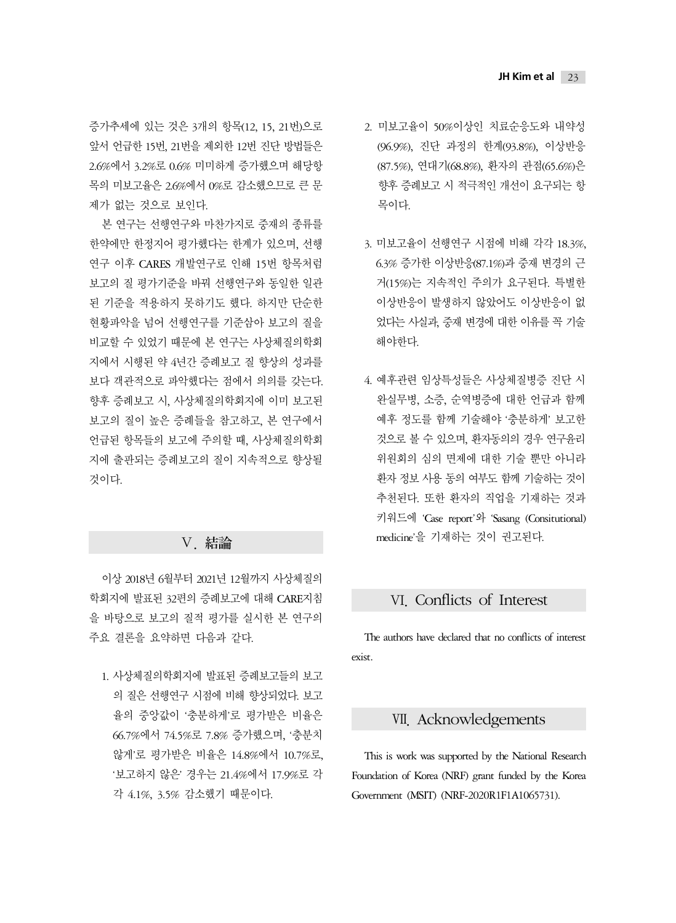증가추세에 있는 것은 3개의 항목(12, 15, 21번)으로 앞서 언급한 15번, 21번을 제외한 12번 진단 방법들은 2.6%에서 3.2%로 0.6% 미미하게 증가했으며 해당항 목의 미보고율은 2.6%에서 0%로 감소했으므로 큰 문 제가 없는 것으로 보인다.

본 연구는 선행연구와 마찬가지로 중재의 종류를 한약에만 한정지어 평가했다는 한계가 있으며, 선행 연구 이후 CARES 개발연구로 인해 15번 항목처럼 보고의 질 평가기준을 바꿔 선행연구와 동일한 일관 된 기준을 적용하지 못하기도 했다. 하지만 단순한 현황파악을 넘어 선행연구를 기준삼아 보고의 질을 비교할 수 있었기 때문에 본 연구는 사상체질의학회 지에서 시행된 약 4년간 증례보고 질 향상의 성과를 보다 객관적으로 파악했다는 점에서 의의를 갖는다. 향후 증례보고 시, 사상체질의학회지에 이미 보고된 보고의 질이 높은 증례들을 참고하고, 본 연구에서 언급된 항목들의 보고에 주의할 때, 사상체질의학회 지에 출판되는 증례보고의 질이 지속적으로 향상될 것이다.

### Ⅴ. 結論

이상 2018년 6월부터 2021년 12월까지 사상체질의 학회지에 발표된 32편의 증례보고에 대해 CARE지침 을 바탕으로 보고의 질적 평가를 실시한 본 연구의 주요 결론을 요약하면 다음과 같다.

1. 사상체질의학회지에 발표된 증례보고들의 보고 의 질은 선행연구 시점에 비해 향상되었다. 보고 율의 중앙값이 '충분하게'로 평가받은 비율은 66.7%에서 74.5%로 7.8% 증가했으며, '충분치 않게'로 평가받은 비율은 14.8%에서 10.7%로, '보고하지 않은' 경우는 21.4%에서 17.9%로 각 각 4.1%, 3.5% 감소했기 때문이다.

- 2. 미보고율이 50%이상인 치료순응도와 내약성 (96.9%), 진단 과정의 한계(93.8%), 이상반응 (87.5%), 연대기(68.8%), 환자의 관점(65.6%)은 향후 증례보고 시 적극적인 개선이 요구되는 항 목이다.
- 3. 미보고율이 선행연구 시점에 비해 각각 18.3%, 6.3% 증가한 이상반응(87.1%)과 중재 변경의 근 거(15%)는 지속적인 주의가 요구된다. 특별한 이상반응이 발생하지 않았어도 이상반응이 없 었다는 사실과, 중재 변경에 대한 이유를 꼭 기술 해야한다.
- 4. 예후관련 임상특성들은 사상체질병증 진단 시 완실무병, 소증, 순역병증에 대한 언급과 함께 예후 정도를 함께 기술해야 '충분하게' 보고한 것으로 볼 수 있으며, 환자동의의 경우 연구윤리 위원회의 심의 면제에 대한 기술 뿐만 아니라 환자 정보 사용 동의 여부도 함께 기술하는 것이 추천된다. 또한 환자의 직업을 기재하는 것과 키워드에 'Case report'와 'Sasang (Consitutional) medicine'을 기재하는 것이 권고된다.

## Ⅵ. Conflicts of Interest

The authors have declared that no conflicts of interest exist.

### Ⅶ. Acknowledgements

This is work was supported by the National Research Foundation of Korea (NRF) grant funded by the Korea Government (MSIT) (NRF-2020R1F1A1065731).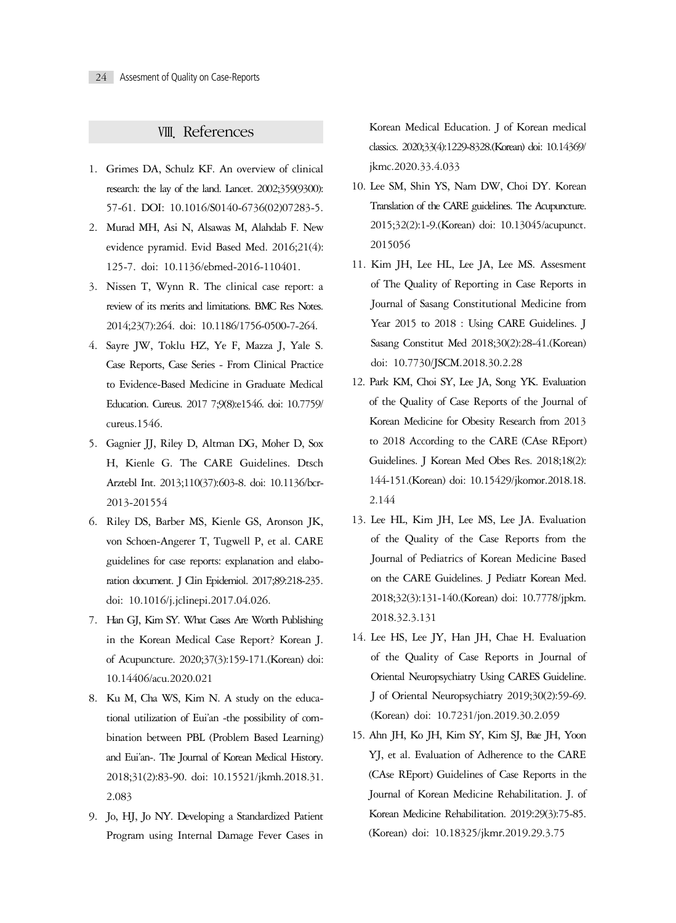### Ⅷ. References

- 1. Grimes DA, Schulz KF. An overview of clinical research: the lay of the land. Lancet. 2002;359(9300): 57-61. DOI: 10.1016/S0140-6736(02)07283-5.
- 2. Murad MH, Asi N, Alsawas M, Alahdab F. New evidence pyramid. Evid Based Med. 2016;21(4): 125-7. doi: 10.1136/ebmed-2016-110401.
- 3. Nissen T, Wynn R. The clinical case report: a review of its merits and limitations. BMC Res Notes. 2014;23(7):264. doi: 10.1186/1756-0500-7-264.
- 4. Sayre JW, Toklu HZ, Ye F, Mazza J, Yale S. Case Reports, Case Series - From Clinical Practice to Evidence-Based Medicine in Graduate Medical Education. Cureus. 2017 7;9(8):e1546. doi: 10.7759/ cureus.1546.
- 5. Gagnier JJ, Riley D, Altman DG, Moher D, Sox H, Kienle G. The CARE Guidelines. Dtsch Arztebl Int. 2013;110(37):603-8. doi: 10.1136/bcr-2013-201554
- 6. Riley DS, Barber MS, Kienle GS, Aronson JK, von Schoen-Angerer T, Tugwell P, et al. CARE guidelines for case reports: explanation and elaboration document. J Clin Epidemiol. 2017;89:218-235. doi: 10.1016/j.jclinepi.2017.04.026.
- 7. Han GJ, Kim SY. What Cases Are Worth Publishing in the Korean Medical Case Report? Korean J. of Acupuncture. 2020;37(3):159-171.(Korean) doi: 10.14406/acu.2020.021
- 8. Ku M, Cha WS, Kim N. A study on the educational utilization of Eui'an -the possibility of combination between PBL (Problem Based Learning) and Eui'an-. The Journal of Korean Medical History. 2018;31(2):83-90. doi: 10.15521/jkmh.2018.31. 2.083
- 9. Jo, HJ, Jo NY. Developing a Standardized Patient Program using Internal Damage Fever Cases in

Korean Medical Education. J of Korean medical classics. 2020;33(4):1229-8328.(Korean) doi: 10.14369/ jkmc.2020.33.4.033

- 10. Lee SM, Shin YS, Nam DW, Choi DY. Korean Translation of the CARE guidelines. The Acupuncture. 2015;32(2):1-9.(Korean) doi: 10.13045/acupunct. 2015056
- 11. Kim JH, Lee HL, Lee JA, Lee MS. Assesment of The Quality of Reporting in Case Reports in Journal of Sasang Constitutional Medicine from Year 2015 to 2018 : Using CARE Guidelines. J Sasang Constitut Med 2018;30(2):28-41.(Korean) doi: 10.7730/JSCM.2018.30.2.28
- 12. Park KM, Choi SY, Lee JA, Song YK. Evaluation of the Quality of Case Reports of the Journal of Korean Medicine for Obesity Research from 2013 to 2018 According to the CARE (CAse REport) Guidelines. J Korean Med Obes Res. 2018;18(2): 144-151.(Korean) doi: 10.15429/jkomor.2018.18. 2.144
- 13. Lee HL, Kim JH, Lee MS, Lee JA. Evaluation of the Quality of the Case Reports from the Journal of Pediatrics of Korean Medicine Based on the CARE Guidelines. J Pediatr Korean Med. 2018;32(3):131-140.(Korean) doi: 10.7778/jpkm. 2018.32.3.131
- 14. Lee HS, Lee JY, Han JH, Chae H. Evaluation of the Quality of Case Reports in Journal of Oriental Neuropsychiatry Using CARES Guideline. J of Oriental Neuropsychiatry 2019;30(2):59-69. (Korean) doi: 10.7231/jon.2019.30.2.059
- 15. Ahn JH, Ko JH, Kim SY, Kim SJ, Bae JH, Yoon YJ, et al. Evaluation of Adherence to the CARE (CAse REport) Guidelines of Case Reports in the Journal of Korean Medicine Rehabilitation. J. of Korean Medicine Rehabilitation. 2019:29(3):75-85. (Korean) doi: 10.18325/jkmr.2019.29.3.75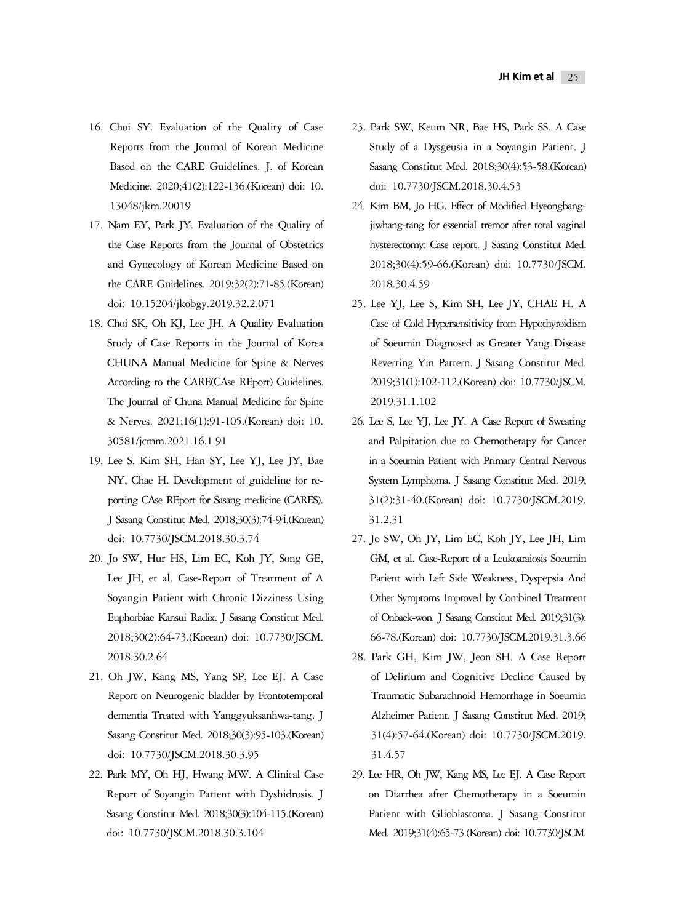- 16. Choi SY. Evaluation of the Quality of Case Reports from the Journal of Korean Medicine Based on the CARE Guidelines. J. of Korean Medicine. 2020;41(2):122-136.(Korean) doi: 10. 13048/jkm.20019
- 17. Nam EY, Park JY. Evaluation of the Quality of the Case Reports from the Journal of Obstetrics and Gynecology of Korean Medicine Based on the CARE Guidelines. 2019;32(2):71-85.(Korean) doi: 10.15204/jkobgy.2019.32.2.071
- 18. Choi SK, Oh KJ, Lee JH. A Quality Evaluation Study of Case Reports in the Journal of Korea CHUNA Manual Medicine for Spine & Nerves According to the CARE(CAse REport) Guidelines. The Journal of Chuna Manual Medicine for Spine & Nerves. 2021;16(1):91-105.(Korean) doi: 10. 30581/jcmm.2021.16.1.91
- 19. Lee S. Kim SH, Han SY, Lee YJ, Lee JY, Bae NY, Chae H. Development of guideline for reporting CAse REport for Sasang medicine (CARES). J Sasang Constitut Med. 2018;30(3):74-94.(Korean) doi: 10.7730/JSCM.2018.30.3.74
- 20. Jo SW, Hur HS, Lim EC, Koh JY, Song GE, Lee JH, et al. Case-Report of Treatment of A Soyangin Patient with Chronic Dizziness Using Euphorbiae Kansui Radix. J Sasang Constitut Med. 2018;30(2):64-73.(Korean) doi: 10.7730/JSCM. 2018.30.2.64
- 21. Oh JW, Kang MS, Yang SP, Lee EJ. A Case Report on Neurogenic bladder by Frontotemporal dementia Treated with Yanggyuksanhwa-tang. J Sasang Constitut Med. 2018;30(3):95-103.(Korean) doi: 10.7730/JSCM.2018.30.3.95
- 22. Park MY, Oh HJ, Hwang MW. A Clinical Case Report of Soyangin Patient with Dyshidrosis. J Sasang Constitut Med. 2018;30(3):104-115.(Korean) doi: 10.7730/JSCM.2018.30.3.104
- 23. Park SW, Keum NR, Bae HS, Park SS. A Case Study of a Dysgeusia in a Soyangin Patient. J Sasang Constitut Med. 2018;30(4):53-58.(Korean) doi: 10.7730/JSCM.2018.30.4.53
- 24. Kim BM, Jo HG. Effect of Modified Hyeongbangjiwhang-tang for essential tremor after total vaginal hysterectomy: Case report. J Sasang Constitut Med. 2018;30(4):59-66.(Korean) doi: 10.7730/JSCM. 2018.30.4.59
- 25. Lee YJ, Lee S, Kim SH, Lee JY, CHAE H. A Case of Cold Hypersensitivity from Hypothyroidism of Soeumin Diagnosed as Greater Yang Disease Reverting Yin Pattern. J Sasang Constitut Med. 2019;31(1):102-112.(Korean) doi: 10.7730/JSCM. 2019.31.1.102
- 26. Lee S, Lee YJ, Lee JY. A Case Report of Sweating and Palpitation due to Chemotherapy for Cancer in a Soeumin Patient with Primary Central Nervous System Lymphoma. J Sasang Constitut Med. 2019; 31(2):31-40.(Korean) doi: 10.7730/JSCM.2019. 31.2.31
- 27. Jo SW, Oh JY, Lim EC, Koh JY, Lee JH, Lim GM, et al. Case-Report of a Leukoaraiosis Soeumin Patient with Left Side Weakness, Dyspepsia And Other Symptoms Improved by Combined Treatment of Onbaek-won. J Sasang Constitut Med. 2019;31(3): 66-78.(Korean) doi: 10.7730/JSCM.2019.31.3.66
- 28. Park GH, Kim JW, Jeon SH. A Case Report of Delirium and Cognitive Decline Caused by Traumatic Subarachnoid Hemorrhage in Soeumin Alzheimer Patient. J Sasang Constitut Med. 2019; 31(4):57-64.(Korean) doi: 10.7730/JSCM.2019. 31.4.57
- 29. Lee HR, Oh JW, Kang MS, Lee EJ. A Case Report on Diarrhea after Chemotherapy in a Soeumin Patient with Glioblastoma. J Sasang Constitut Med. 2019;31(4):65-73.(Korean) doi: 10.7730/JSCM.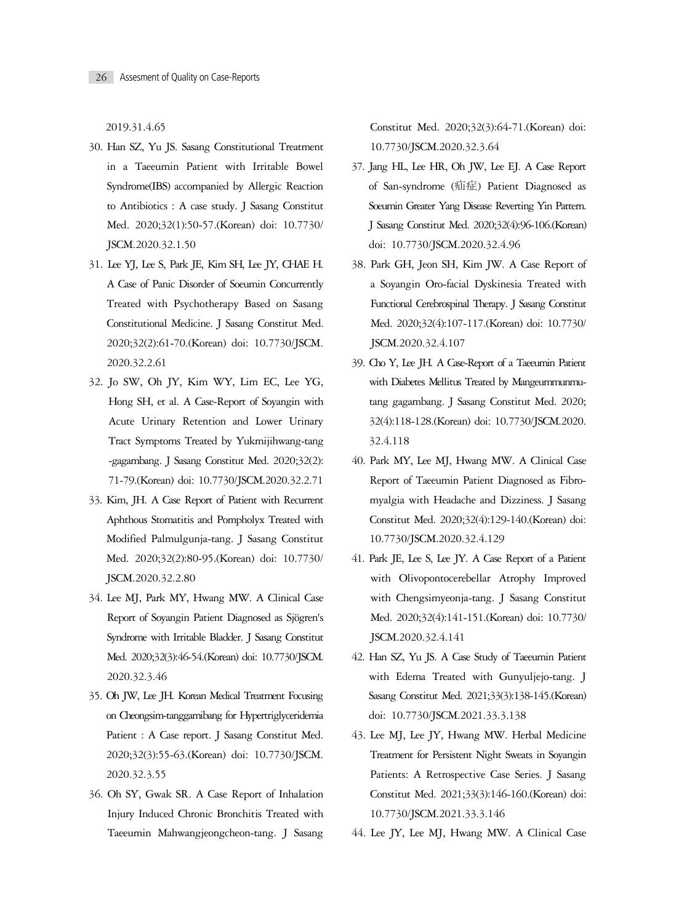2019.31.4.65

- 30. Han SZ, Yu JS. Sasang Constitutional Treatment in a Taeeumin Patient with Irritable Bowel Syndrome(IBS) accompanied by Allergic Reaction to Antibiotics : A case study. J Sasang Constitut Med. 2020;32(1):50-57.(Korean) doi: 10.7730/ JSCM.2020.32.1.50
- 31. Lee YJ, Lee S, Park JE, Kim SH, Lee JY, CHAE H. A Case of Panic Disorder of Soeumin Concurrently Treated with Psychotherapy Based on Sasang Constitutional Medicine. J Sasang Constitut Med. 2020;32(2):61-70.(Korean) doi: 10.7730/JSCM. 2020.32.2.61
- 32. Jo SW, Oh JY, Kim WY, Lim EC, Lee YG, Hong SH, et al. A Case-Report of Soyangin with Acute Urinary Retention and Lower Urinary Tract Symptoms Treated by Yukmijihwang-tang -gagambang. J Sasang Constitut Med. 2020;32(2): 71-79.(Korean) doi: 10.7730/JSCM.2020.32.2.71
- 33. Kim, JH. A Case Report of Patient with Recurrent Aphthous Stomatitis and Pompholyx Treated with Modified Palmulgunja-tang. J Sasang Constitut Med. 2020;32(2):80-95.(Korean) doi: 10.7730/ JSCM.2020.32.2.80
- 34. Lee MJ, Park MY, Hwang MW. A Clinical Case Report of Soyangin Patient Diagnosed as Sjögren's Syndrome with Irritable Bladder. J Sasang Constitut Med. 2020;32(3):46-54.(Korean) doi: 10.7730/JSCM. 2020.32.3.46
- 35. Oh JW, Lee JH. Korean Medical Treatment Focusing on Cheongsim-tanggamibang for Hypertriglyceridemia Patient : A Case report. J Sasang Constitut Med. 2020;32(3):55-63.(Korean) doi: 10.7730/JSCM. 2020.32.3.55
- 36. Oh SY, Gwak SR. A Case Report of Inhalation Injury Induced Chronic Bronchitis Treated with Taeeumin Mahwangjeongcheon-tang. J Sasang

Constitut Med. 2020;32(3):64-71.(Korean) doi: 10.7730/JSCM.2020.32.3.64

- 37. Jang HL, Lee HR, Oh JW, Lee EJ. A Case Report of San-syndrome (疝症) Patient Diagnosed as Soeumin Greater Yang Disease Reverting Yin Pattern. J Sasang Constitut Med. 2020;32(4):96-106.(Korean) doi: 10.7730/JSCM.2020.32.4.96
- 38. Park GH, Jeon SH, Kim JW. A Case Report of a Soyangin Oro-facial Dyskinesia Treated with Functional Cerebrospinal Therapy. J Sasang Constitut Med. 2020;32(4):107-117.(Korean) doi: 10.7730/ JSCM.2020.32.4.107
- 39. Cho Y, Lee JH. A Case-Report of a Taeeumin Patient with Diabetes Mellitus Treated by Mangeummunmutang gagambang. J Sasang Constitut Med. 2020; 32(4):118-128.(Korean) doi: 10.7730/JSCM.2020. 32.4.118
- 40. Park MY, Lee MJ, Hwang MW. A Clinical Case Report of Taeeumin Patient Diagnosed as Fibromyalgia with Headache and Dizziness. J Sasang Constitut Med. 2020;32(4):129-140.(Korean) doi: 10.7730/JSCM.2020.32.4.129
- 41. Park JE, Lee S, Lee JY. A Case Report of a Patient with Olivopontocerebellar Atrophy Improved with Chengsimyeonja-tang. J Sasang Constitut Med. 2020;32(4):141-151.(Korean) doi: 10.7730/ JSCM.2020.32.4.141
- 42. Han SZ, Yu JS. A Case Study of Taeeumin Patient with Edema Treated with Gunyuljejo-tang. J Sasang Constitut Med. 2021;33(3):138-145.(Korean) doi: 10.7730/JSCM.2021.33.3.138
- 43. Lee MJ, Lee JY, Hwang MW. Herbal Medicine Treatment for Persistent Night Sweats in Soyangin Patients: A Retrospective Case Series. J Sasang Constitut Med. 2021;33(3):146-160.(Korean) doi: 10.7730/JSCM.2021.33.3.146
- 44. Lee JY, Lee MJ, Hwang MW. A Clinical Case